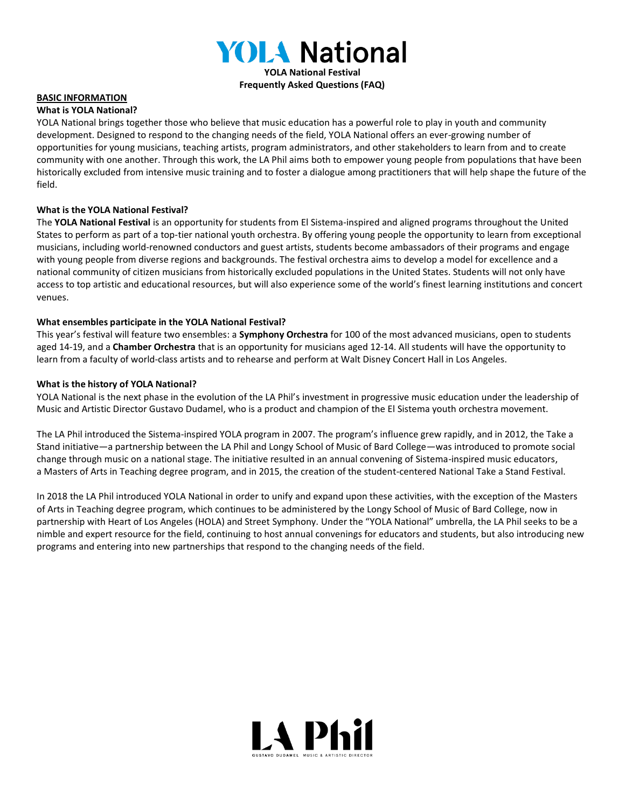

**Frequently Asked Questions (FAQ)**

#### **BASIC INFORMATION**

#### **What is YOLA National?**

YOLA National brings together those who believe that music education has a powerful role to play in youth and community development. Designed to respond to the changing needs of the field, YOLA National offers an ever-growing number of opportunities for young musicians, teaching artists, program administrators, and other stakeholders to learn from and to create community with one another. Through this work, the LA Phil aims both to empower young people from populations that have been historically excluded from intensive music training and to foster a dialogue among practitioners that will help shape the future of the field.

#### **What is the YOLA National Festival?**

The **YOLA National Festival** is an opportunity for students from El Sistema-inspired and aligned programs throughout the United States to perform as part of a top-tier national youth orchestra. By offering young people the opportunity to learn from exceptional musicians, including world-renowned conductors and guest artists, students become ambassadors of their programs and engage with young people from diverse regions and backgrounds. The festival orchestra aims to develop a model for excellence and a national community of citizen musicians from historically excluded populations in the United States. Students will not only have access to top artistic and educational resources, but will also experience some of the world's finest learning institutions and concert venues.

#### **What ensembles participate in the YOLA National Festival?**

This year's festival will feature two ensembles: a **Symphony Orchestra** for 100 of the most advanced musicians, open to students aged 14-19, and a **Chamber Orchestra** that is an opportunity for musicians aged 12-14. All students will have the opportunity to learn from a faculty of world-class artists and to rehearse and perform at Walt Disney Concert Hall in Los Angeles.

#### **What is the history of YOLA National?**

YOLA National is the next phase in the evolution of the LA Phil's investment in progressive music education under the leadership of Music and Artistic Director Gustavo Dudamel, who is a product and champion of the El Sistema youth orchestra movement.

The LA Phil introduced the Sistema-inspired YOLA program in 2007. The program's influence grew rapidly, and in 2012, the Take a Stand initiative—a partnership between the LA Phil and Longy School of Music of Bard College—was introduced to promote social change through music on a national stage. The initiative resulted in an annual convening of Sistema-inspired music educators, a Masters of Arts in Teaching degree program, and in 2015, the creation of the student-centered National Take a Stand Festival.

In 2018 the LA Phil introduced YOLA National in order to unify and expand upon these activities, with the exception of the Masters of Arts in Teaching degree program, which continues to be administered by the Longy School of Music of Bard College, now in partnership with Heart of Los Angeles (HOLA) and Street Symphony. Under the "YOLA National" umbrella, the LA Phil seeks to be a nimble and expert resource for the field, continuing to host annual convenings for educators and students, but also introducing new programs and entering into new partnerships that respond to the changing needs of the field.

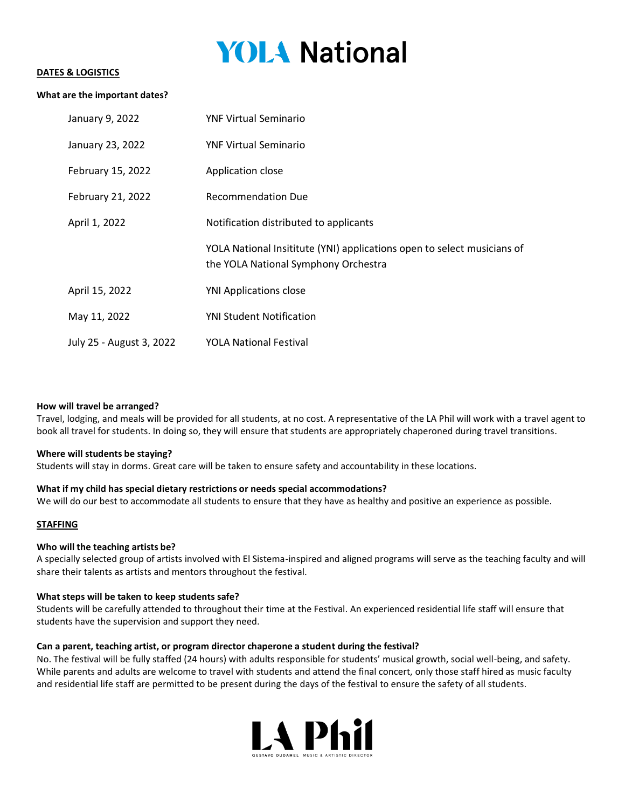# **YOLA National**

#### **DATES & LOGISTICS**

#### **What are the important dates?**

| January 9, 2022          | <b>YNF Virtual Seminario</b>                                                                                    |
|--------------------------|-----------------------------------------------------------------------------------------------------------------|
| January 23, 2022         | <b>YNF Virtual Seminario</b>                                                                                    |
| February 15, 2022        | Application close                                                                                               |
| February 21, 2022        | <b>Recommendation Due</b>                                                                                       |
| April 1, 2022            | Notification distributed to applicants                                                                          |
|                          | YOLA National Insititute (YNI) applications open to select musicians of<br>the YOLA National Symphony Orchestra |
| April 15, 2022           | <b>YNI Applications close</b>                                                                                   |
| May 11, 2022             | <b>YNI Student Notification</b>                                                                                 |
| July 25 - August 3, 2022 | <b>YOLA National Festival</b>                                                                                   |

#### **How will travel be arranged?**

Travel, lodging, and meals will be provided for all students, at no cost. A representative of the LA Phil will work with a travel agent to book all travel for students. In doing so, they will ensure that students are appropriately chaperoned during travel transitions.

#### **Where will students be staying?**

Students will stay in dorms. Great care will be taken to ensure safety and accountability in these locations.

#### **What if my child has special dietary restrictions or needs special accommodations?**

We will do our best to accommodate all students to ensure that they have as healthy and positive an experience as possible.

#### **STAFFING**

#### **Who will the teaching artists be?**

A specially selected group of artists involved with El Sistema-inspired and aligned programs will serve as the teaching faculty and will share their talents as artists and mentors throughout the festival.

#### **What steps will be taken to keep students safe?**

Students will be carefully attended to throughout their time at the Festival. An experienced residential life staff will ensure that students have the supervision and support they need.

#### **Can a parent, teaching artist, or program director chaperone a student during the festival?**

No. The festival will be fully staffed (24 hours) with adults responsible for students' musical growth, social well-being, and safety. While parents and adults are welcome to travel with students and attend the final concert, only those staff hired as music faculty and residential life staff are permitted to be present during the days of the festival to ensure the safety of all students.